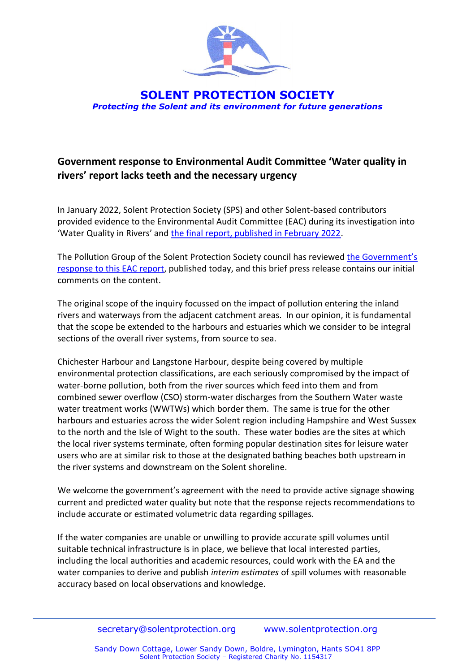

**SOLENT PROTECTION SOCIETY** *Protecting the Solent and its environment for future generations*

## **Government response to Environmental Audit Committee 'Water quality in rivers' report lacks teeth and the necessary urgency**

In January 2022, Solent Protection Society (SPS) and other Solent-based contributors provided evidence to the Environmental Audit Committee (EAC) during its investigation into 'Water Quality in Rivers' and [the final report, published in February 2022.](https://sps2018.files.wordpress.com/2022/05/eac-report-water-quality-in-rivers-13-jan-2022.pdf)

The Pollution Group of the Solent Protection Society council has reviewed the [Government's](https://sps2018.files.wordpress.com/2022/05/govevrnment-response-to-eac-report-water-quality-in-rivers-16-jan-2022.pdf)  [response to this EAC report,](https://sps2018.files.wordpress.com/2022/05/govevrnment-response-to-eac-report-water-quality-in-rivers-16-jan-2022.pdf) published today, and this brief press release contains our initial comments on the content.

The original scope of the inquiry focussed on the impact of pollution entering the inland rivers and waterways from the adjacent catchment areas. In our opinion, it is fundamental that the scope be extended to the harbours and estuaries which we consider to be integral sections of the overall river systems, from source to sea.

Chichester Harbour and Langstone Harbour, despite being covered by multiple environmental protection classifications, are each seriously compromised by the impact of water-borne pollution, both from the river sources which feed into them and from combined sewer overflow (CSO) storm-water discharges from the Southern Water waste water treatment works (WWTWs) which border them. The same is true for the other harbours and estuaries across the wider Solent region including Hampshire and West Sussex to the north and the Isle of Wight to the south. These water bodies are the sites at which the local river systems terminate, often forming popular destination sites for leisure water users who are at similar risk to those at the designated bathing beaches both upstream in the river systems and downstream on the Solent shoreline.

We welcome the government's agreement with the need to provide active signage showing current and predicted water quality but note that the response rejects recommendations to include accurate or estimated volumetric data regarding spillages.

If the water companies are unable or unwilling to provide accurate spill volumes until suitable technical infrastructure is in place, we believe that local interested parties, including the local authorities and academic resources, could work with the EA and the water companies to derive and publish *interim estimates* of spill volumes with reasonable accuracy based on local observations and knowledge.

Sandy Down Cottage, Lower Sandy Down, Boldre, Lymington, Hants SO41 8PP Solent Protection Society – Registered Charity No. 1154317